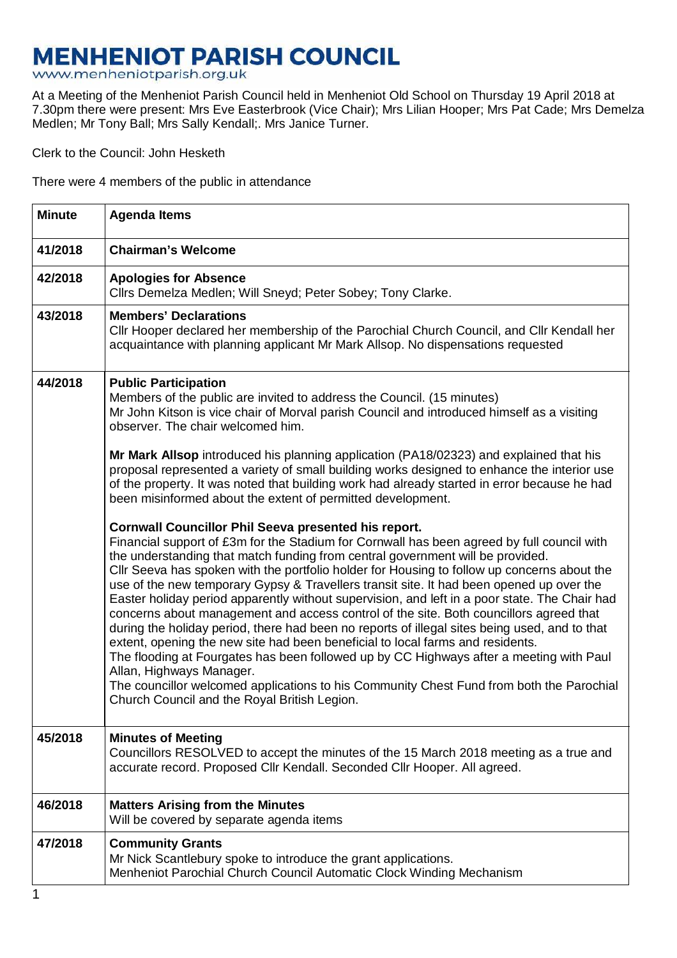## **MENHENIOT PARISH COUNCIL**

www.menheniotparish.org.uk

At a Meeting of the Menheniot Parish Council held in Menheniot Old School on Thursday 19 April 2018 at 7.30pm there were present: Mrs Eve Easterbrook (Vice Chair); Mrs Lilian Hooper; Mrs Pat Cade; Mrs Demelza Medlen; Mr Tony Ball; Mrs Sally Kendall;. Mrs Janice Turner.

Clerk to the Council: John Hesketh

There were 4 members of the public in attendance

| <b>Minute</b> | <b>Agenda Items</b>                                                                                                                                                                                                                                                                                                                                                                                                                                                                                                                                                                                                                                                                                                                                                                                                                                                                                                                                                                                                                                                                     |  |  |  |
|---------------|-----------------------------------------------------------------------------------------------------------------------------------------------------------------------------------------------------------------------------------------------------------------------------------------------------------------------------------------------------------------------------------------------------------------------------------------------------------------------------------------------------------------------------------------------------------------------------------------------------------------------------------------------------------------------------------------------------------------------------------------------------------------------------------------------------------------------------------------------------------------------------------------------------------------------------------------------------------------------------------------------------------------------------------------------------------------------------------------|--|--|--|
| 41/2018       | <b>Chairman's Welcome</b>                                                                                                                                                                                                                                                                                                                                                                                                                                                                                                                                                                                                                                                                                                                                                                                                                                                                                                                                                                                                                                                               |  |  |  |
| 42/2018       | <b>Apologies for Absence</b><br>Cllrs Demelza Medlen; Will Sneyd; Peter Sobey; Tony Clarke.                                                                                                                                                                                                                                                                                                                                                                                                                                                                                                                                                                                                                                                                                                                                                                                                                                                                                                                                                                                             |  |  |  |
| 43/2018       | <b>Members' Declarations</b><br>Cllr Hooper declared her membership of the Parochial Church Council, and Cllr Kendall her<br>acquaintance with planning applicant Mr Mark Allsop. No dispensations requested                                                                                                                                                                                                                                                                                                                                                                                                                                                                                                                                                                                                                                                                                                                                                                                                                                                                            |  |  |  |
| 44/2018       | <b>Public Participation</b><br>Members of the public are invited to address the Council. (15 minutes)<br>Mr John Kitson is vice chair of Morval parish Council and introduced himself as a visiting<br>observer. The chair welcomed him.                                                                                                                                                                                                                                                                                                                                                                                                                                                                                                                                                                                                                                                                                                                                                                                                                                                |  |  |  |
|               | Mr Mark Allsop introduced his planning application (PA18/02323) and explained that his<br>proposal represented a variety of small building works designed to enhance the interior use<br>of the property. It was noted that building work had already started in error because he had<br>been misinformed about the extent of permitted development.                                                                                                                                                                                                                                                                                                                                                                                                                                                                                                                                                                                                                                                                                                                                    |  |  |  |
|               | <b>Cornwall Councillor Phil Seeva presented his report.</b><br>Financial support of £3m for the Stadium for Cornwall has been agreed by full council with<br>the understanding that match funding from central government will be provided.<br>Cllr Seeva has spoken with the portfolio holder for Housing to follow up concerns about the<br>use of the new temporary Gypsy & Travellers transit site. It had been opened up over the<br>Easter holiday period apparently without supervision, and left in a poor state. The Chair had<br>concerns about management and access control of the site. Both councillors agreed that<br>during the holiday period, there had been no reports of illegal sites being used, and to that<br>extent, opening the new site had been beneficial to local farms and residents.<br>The flooding at Fourgates has been followed up by CC Highways after a meeting with Paul<br>Allan, Highways Manager.<br>The councillor welcomed applications to his Community Chest Fund from both the Parochial<br>Church Council and the Royal British Legion. |  |  |  |
| 45/2018       | <b>Minutes of Meeting</b><br>Councillors RESOLVED to accept the minutes of the 15 March 2018 meeting as a true and<br>accurate record. Proposed Cllr Kendall. Seconded Cllr Hooper. All agreed.                                                                                                                                                                                                                                                                                                                                                                                                                                                                                                                                                                                                                                                                                                                                                                                                                                                                                         |  |  |  |
| 46/2018       | <b>Matters Arising from the Minutes</b><br>Will be covered by separate agenda items                                                                                                                                                                                                                                                                                                                                                                                                                                                                                                                                                                                                                                                                                                                                                                                                                                                                                                                                                                                                     |  |  |  |
| 47/2018       | <b>Community Grants</b><br>Mr Nick Scantlebury spoke to introduce the grant applications.<br>Menheniot Parochial Church Council Automatic Clock Winding Mechanism                                                                                                                                                                                                                                                                                                                                                                                                                                                                                                                                                                                                                                                                                                                                                                                                                                                                                                                       |  |  |  |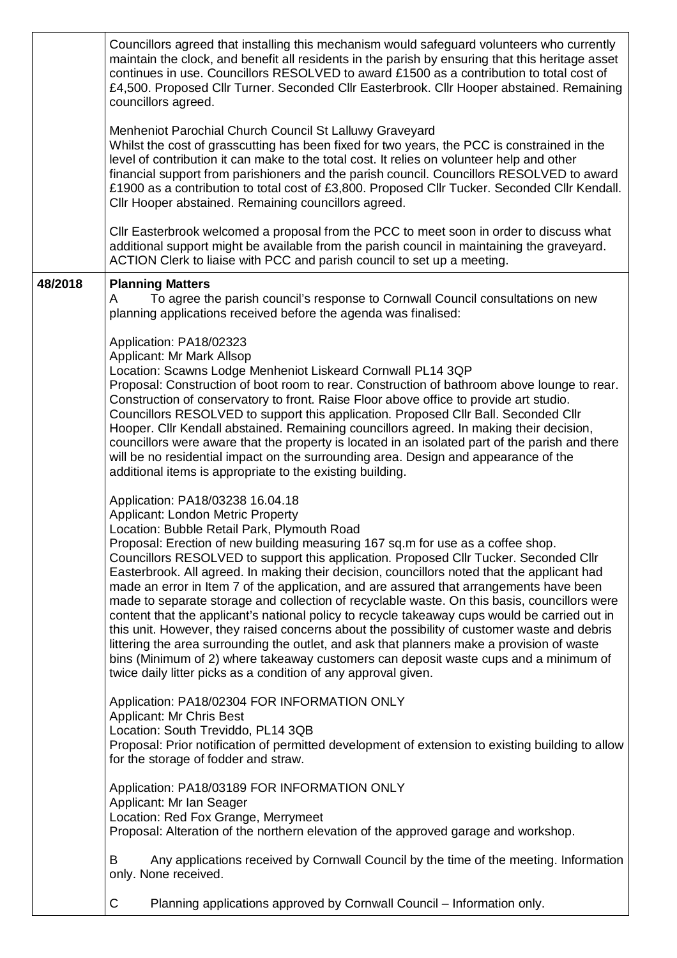|         | Councillors agreed that installing this mechanism would safeguard volunteers who currently<br>maintain the clock, and benefit all residents in the parish by ensuring that this heritage asset<br>continues in use. Councillors RESOLVED to award £1500 as a contribution to total cost of<br>£4,500. Proposed Cllr Turner. Seconded Cllr Easterbrook. Cllr Hooper abstained. Remaining<br>councillors agreed.<br>Menheniot Parochial Church Council St Lalluwy Graveyard<br>Whilst the cost of grasscutting has been fixed for two years, the PCC is constrained in the<br>level of contribution it can make to the total cost. It relies on volunteer help and other<br>financial support from parishioners and the parish council. Councillors RESOLVED to award<br>£1900 as a contribution to total cost of £3,800. Proposed Cllr Tucker. Seconded Cllr Kendall.<br>Cllr Hooper abstained. Remaining councillors agreed.<br>CIIr Easterbrook welcomed a proposal from the PCC to meet soon in order to discuss what                            |
|---------|----------------------------------------------------------------------------------------------------------------------------------------------------------------------------------------------------------------------------------------------------------------------------------------------------------------------------------------------------------------------------------------------------------------------------------------------------------------------------------------------------------------------------------------------------------------------------------------------------------------------------------------------------------------------------------------------------------------------------------------------------------------------------------------------------------------------------------------------------------------------------------------------------------------------------------------------------------------------------------------------------------------------------------------------------|
|         | additional support might be available from the parish council in maintaining the graveyard.<br>ACTION Clerk to liaise with PCC and parish council to set up a meeting.                                                                                                                                                                                                                                                                                                                                                                                                                                                                                                                                                                                                                                                                                                                                                                                                                                                                             |
| 48/2018 | <b>Planning Matters</b><br>To agree the parish council's response to Cornwall Council consultations on new<br>A<br>planning applications received before the agenda was finalised:                                                                                                                                                                                                                                                                                                                                                                                                                                                                                                                                                                                                                                                                                                                                                                                                                                                                 |
|         | Application: PA18/02323<br>Applicant: Mr Mark Allsop<br>Location: Scawns Lodge Menheniot Liskeard Cornwall PL14 3QP<br>Proposal: Construction of boot room to rear. Construction of bathroom above lounge to rear.<br>Construction of conservatory to front. Raise Floor above office to provide art studio.<br>Councillors RESOLVED to support this application. Proposed Cllr Ball. Seconded Cllr<br>Hooper. Cllr Kendall abstained. Remaining councillors agreed. In making their decision,<br>councillors were aware that the property is located in an isolated part of the parish and there<br>will be no residential impact on the surrounding area. Design and appearance of the<br>additional items is appropriate to the existing building.                                                                                                                                                                                                                                                                                              |
|         | Application: PA18/03238 16.04.18<br>Applicant: London Metric Property<br>Location: Bubble Retail Park, Plymouth Road<br>Proposal: Erection of new building measuring 167 sq.m for use as a coffee shop.<br>Councillors RESOLVED to support this application. Proposed Cllr Tucker. Seconded Cllr<br>Easterbrook. All agreed. In making their decision, councillors noted that the applicant had<br>made an error in Item 7 of the application, and are assured that arrangements have been<br>made to separate storage and collection of recyclable waste. On this basis, councillors were<br>content that the applicant's national policy to recycle takeaway cups would be carried out in<br>this unit. However, they raised concerns about the possibility of customer waste and debris<br>littering the area surrounding the outlet, and ask that planners make a provision of waste<br>bins (Minimum of 2) where takeaway customers can deposit waste cups and a minimum of<br>twice daily litter picks as a condition of any approval given. |
|         | Application: PA18/02304 FOR INFORMATION ONLY<br><b>Applicant: Mr Chris Best</b><br>Location: South Treviddo, PL14 3QB<br>Proposal: Prior notification of permitted development of extension to existing building to allow<br>for the storage of fodder and straw.                                                                                                                                                                                                                                                                                                                                                                                                                                                                                                                                                                                                                                                                                                                                                                                  |
|         | Application: PA18/03189 FOR INFORMATION ONLY<br>Applicant: Mr Ian Seager<br>Location: Red Fox Grange, Merrymeet<br>Proposal: Alteration of the northern elevation of the approved garage and workshop.                                                                                                                                                                                                                                                                                                                                                                                                                                                                                                                                                                                                                                                                                                                                                                                                                                             |
|         | Any applications received by Cornwall Council by the time of the meeting. Information<br>B<br>only. None received.                                                                                                                                                                                                                                                                                                                                                                                                                                                                                                                                                                                                                                                                                                                                                                                                                                                                                                                                 |
|         | C<br>Planning applications approved by Cornwall Council - Information only.                                                                                                                                                                                                                                                                                                                                                                                                                                                                                                                                                                                                                                                                                                                                                                                                                                                                                                                                                                        |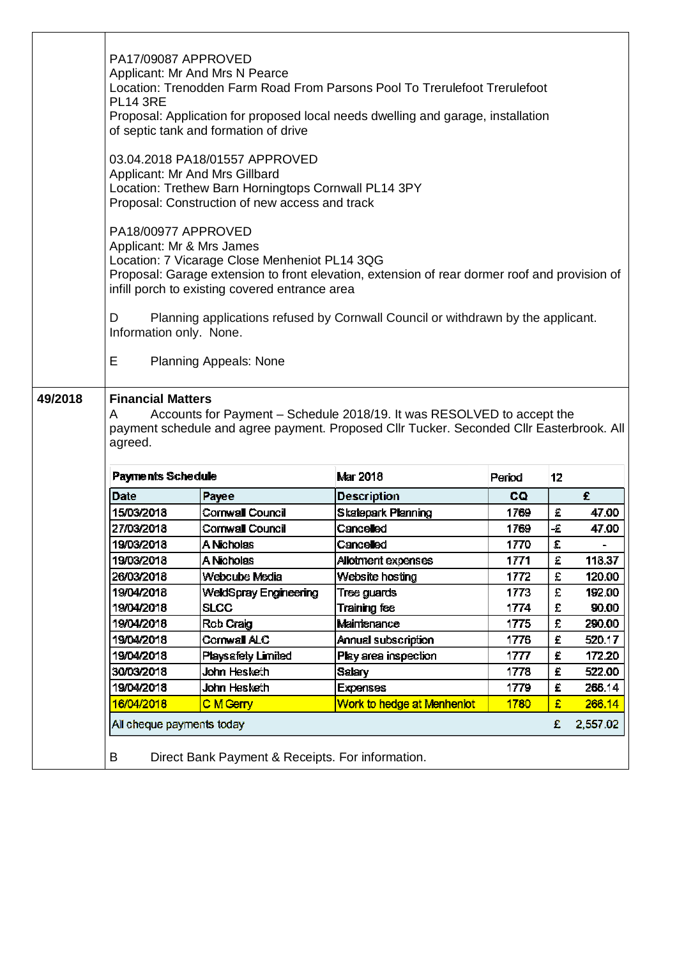|         | PA17/09087 APPROVED<br>Applicant: Mr And Mrs N Pearce<br>Location: Trenodden Farm Road From Parsons Pool To Trerulefoot Trerulefoot<br><b>PL14 3RE</b><br>Proposal: Application for proposed local needs dwelling and garage, installation<br>of septic tank and formation of drive                                                                                                                            |                                             |                                |              |               |                  |
|---------|----------------------------------------------------------------------------------------------------------------------------------------------------------------------------------------------------------------------------------------------------------------------------------------------------------------------------------------------------------------------------------------------------------------|---------------------------------------------|--------------------------------|--------------|---------------|------------------|
|         | 03.04.2018 PA18/01557 APPROVED<br>Applicant: Mr And Mrs Gillbard<br>Location: Trethew Barn Horningtops Cornwall PL14 3PY<br>Proposal: Construction of new access and track                                                                                                                                                                                                                                     |                                             |                                |              |               |                  |
|         | PA18/00977 APPROVED<br>Applicant: Mr & Mrs James<br>Location: 7 Vicarage Close Menheniot PL14 3QG<br>Proposal: Garage extension to front elevation, extension of rear dormer roof and provision of<br>infill porch to existing covered entrance area<br>D<br>Planning applications refused by Cornwall Council or withdrawn by the applicant.<br>Information only. None.<br>Е<br><b>Planning Appeals: None</b> |                                             |                                |              |               |                  |
| 49/2018 | <b>Financial Matters</b><br>Accounts for Payment – Schedule 2018/19. It was RESOLVED to accept the<br>A<br>payment schedule and agree payment. Proposed Cllr Tucker. Seconded Cllr Easterbrook. All<br>agreed.                                                                                                                                                                                                 |                                             |                                |              |               |                  |
|         | <b>Payments Schedule</b>                                                                                                                                                                                                                                                                                                                                                                                       |                                             | Mar 2018                       | Period       | 12            |                  |
|         | Date                                                                                                                                                                                                                                                                                                                                                                                                           | Payee                                       | <b>Description</b>             | CQ.          |               | £                |
|         | 15/03/2018                                                                                                                                                                                                                                                                                                                                                                                                     | Cornwall Council                            | <b>Skatepark Planning</b>      | 1769         | £             | 47.00            |
|         | 27/03/2018                                                                                                                                                                                                                                                                                                                                                                                                     | Cornwall Council                            | Cancelled                      | 1769         | $\mathcal{L}$ | 47.00            |
|         | 19/03/2018                                                                                                                                                                                                                                                                                                                                                                                                     | A Nicholas                                  | Cancelled                      | 1770         | £             |                  |
|         | 19/03/2018                                                                                                                                                                                                                                                                                                                                                                                                     | A Nicholas<br>Webcube Media                 | Allotment expenses             | 1771         | £<br>£        | 118.37           |
|         | 26/03/2018<br>19/04/2018                                                                                                                                                                                                                                                                                                                                                                                       |                                             | Website hosting<br>Tree guards | 1772<br>1773 | £             | 120.00<br>192.00 |
|         | 19/04/2018                                                                                                                                                                                                                                                                                                                                                                                                     | <b>WeldSpray Engineering</b><br><b>SLCC</b> | Training fee                   | 1774         | £             | 90.00            |
|         | 19/04/2018                                                                                                                                                                                                                                                                                                                                                                                                     | Rob Craig                                   | Maintenance                    | 1775         | £             | 290.00           |
|         | 19/04/2018                                                                                                                                                                                                                                                                                                                                                                                                     | Cornwall ALC                                | Annual subscription            | 1776         | £             | 520.17           |
|         | 19/04/2018                                                                                                                                                                                                                                                                                                                                                                                                     | <b>Playsafety Limited</b>                   | Play area inspection           | 1777         | £             | 172.20           |
|         | 30/03/2018                                                                                                                                                                                                                                                                                                                                                                                                     | John Hesketh                                | <b>Salary</b>                  | 1778         | £             | 522.00           |
|         | 19/04/2018                                                                                                                                                                                                                                                                                                                                                                                                     | John Hesketh                                | <b>Expenses</b>                | 1779         | £             | 266.14           |
|         | 16/04/2018                                                                                                                                                                                                                                                                                                                                                                                                     | C M Gerry                                   | Work to hedge at Menheniot     | 1780         | £             | 266.14           |
|         | All cheque payments today                                                                                                                                                                                                                                                                                                                                                                                      |                                             |                                |              |               |                  |
|         |                                                                                                                                                                                                                                                                                                                                                                                                                |                                             |                                |              | £             | 2,557.02         |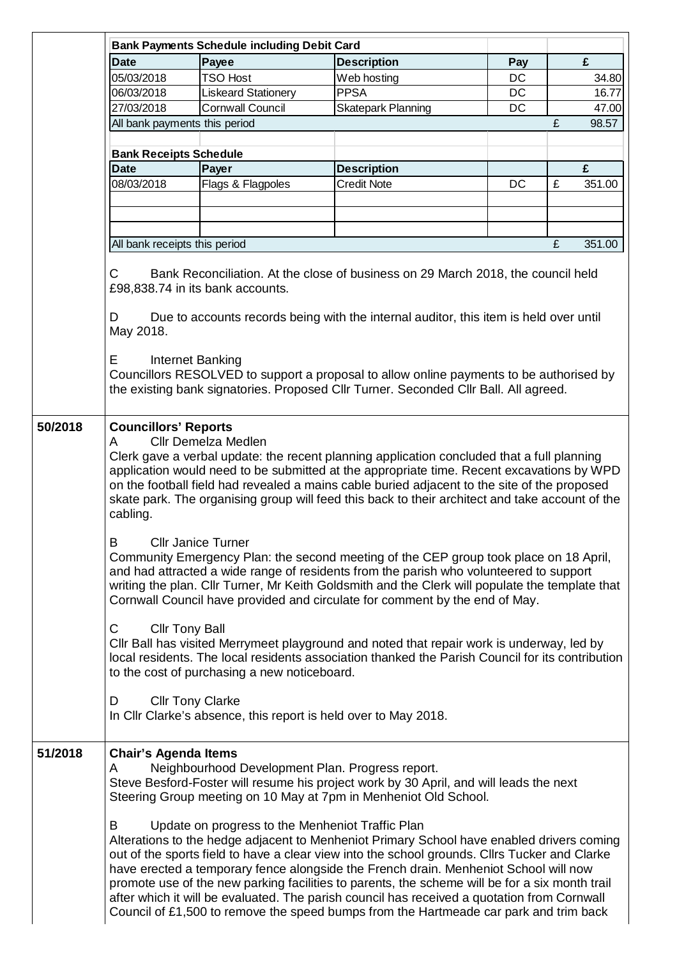|                                                                                                                                                                                                                                                                                                                                                                                                                                                                                                                                                                                                                                                                                    |                                                                                                                                                                                                                                                                                                                                                                                                                                           | <b>Bank Payments Schedule including Debit Card</b> |                                                                                                                                                                                                                                                                                                                                                                                                                                                                                                                                                                              |           |   |        |  |  |
|------------------------------------------------------------------------------------------------------------------------------------------------------------------------------------------------------------------------------------------------------------------------------------------------------------------------------------------------------------------------------------------------------------------------------------------------------------------------------------------------------------------------------------------------------------------------------------------------------------------------------------------------------------------------------------|-------------------------------------------------------------------------------------------------------------------------------------------------------------------------------------------------------------------------------------------------------------------------------------------------------------------------------------------------------------------------------------------------------------------------------------------|----------------------------------------------------|------------------------------------------------------------------------------------------------------------------------------------------------------------------------------------------------------------------------------------------------------------------------------------------------------------------------------------------------------------------------------------------------------------------------------------------------------------------------------------------------------------------------------------------------------------------------------|-----------|---|--------|--|--|
|                                                                                                                                                                                                                                                                                                                                                                                                                                                                                                                                                                                                                                                                                    | <b>Date</b>                                                                                                                                                                                                                                                                                                                                                                                                                               | Payee                                              | <b>Description</b>                                                                                                                                                                                                                                                                                                                                                                                                                                                                                                                                                           | Pay       |   | £      |  |  |
|                                                                                                                                                                                                                                                                                                                                                                                                                                                                                                                                                                                                                                                                                    | 05/03/2018                                                                                                                                                                                                                                                                                                                                                                                                                                | <b>TSO Host</b>                                    | Web hosting                                                                                                                                                                                                                                                                                                                                                                                                                                                                                                                                                                  | DC        |   | 34.80  |  |  |
|                                                                                                                                                                                                                                                                                                                                                                                                                                                                                                                                                                                                                                                                                    | 06/03/2018                                                                                                                                                                                                                                                                                                                                                                                                                                | Liskeard Stationery                                | <b>PPSA</b>                                                                                                                                                                                                                                                                                                                                                                                                                                                                                                                                                                  | DC        |   | 16.77  |  |  |
|                                                                                                                                                                                                                                                                                                                                                                                                                                                                                                                                                                                                                                                                                    | 27/03/2018                                                                                                                                                                                                                                                                                                                                                                                                                                | <b>Cornwall Council</b>                            | <b>Skatepark Planning</b>                                                                                                                                                                                                                                                                                                                                                                                                                                                                                                                                                    | <b>DC</b> |   | 47.00  |  |  |
|                                                                                                                                                                                                                                                                                                                                                                                                                                                                                                                                                                                                                                                                                    | All bank payments this period                                                                                                                                                                                                                                                                                                                                                                                                             |                                                    |                                                                                                                                                                                                                                                                                                                                                                                                                                                                                                                                                                              |           | £ | 98.57  |  |  |
|                                                                                                                                                                                                                                                                                                                                                                                                                                                                                                                                                                                                                                                                                    |                                                                                                                                                                                                                                                                                                                                                                                                                                           |                                                    |                                                                                                                                                                                                                                                                                                                                                                                                                                                                                                                                                                              |           |   |        |  |  |
|                                                                                                                                                                                                                                                                                                                                                                                                                                                                                                                                                                                                                                                                                    | <b>Bank Receipts Schedule</b><br><b>Date</b>                                                                                                                                                                                                                                                                                                                                                                                              | Payer                                              |                                                                                                                                                                                                                                                                                                                                                                                                                                                                                                                                                                              |           |   | £      |  |  |
|                                                                                                                                                                                                                                                                                                                                                                                                                                                                                                                                                                                                                                                                                    |                                                                                                                                                                                                                                                                                                                                                                                                                                           |                                                    | <b>Description</b>                                                                                                                                                                                                                                                                                                                                                                                                                                                                                                                                                           |           |   |        |  |  |
|                                                                                                                                                                                                                                                                                                                                                                                                                                                                                                                                                                                                                                                                                    | 08/03/2018                                                                                                                                                                                                                                                                                                                                                                                                                                | Flags & Flagpoles                                  | <b>Credit Note</b>                                                                                                                                                                                                                                                                                                                                                                                                                                                                                                                                                           | DC        | £ | 351.00 |  |  |
|                                                                                                                                                                                                                                                                                                                                                                                                                                                                                                                                                                                                                                                                                    |                                                                                                                                                                                                                                                                                                                                                                                                                                           |                                                    |                                                                                                                                                                                                                                                                                                                                                                                                                                                                                                                                                                              |           |   |        |  |  |
|                                                                                                                                                                                                                                                                                                                                                                                                                                                                                                                                                                                                                                                                                    |                                                                                                                                                                                                                                                                                                                                                                                                                                           |                                                    |                                                                                                                                                                                                                                                                                                                                                                                                                                                                                                                                                                              |           |   |        |  |  |
|                                                                                                                                                                                                                                                                                                                                                                                                                                                                                                                                                                                                                                                                                    | All bank receipts this period                                                                                                                                                                                                                                                                                                                                                                                                             |                                                    |                                                                                                                                                                                                                                                                                                                                                                                                                                                                                                                                                                              |           | £ | 351.00 |  |  |
|                                                                                                                                                                                                                                                                                                                                                                                                                                                                                                                                                                                                                                                                                    |                                                                                                                                                                                                                                                                                                                                                                                                                                           |                                                    |                                                                                                                                                                                                                                                                                                                                                                                                                                                                                                                                                                              |           |   |        |  |  |
|                                                                                                                                                                                                                                                                                                                                                                                                                                                                                                                                                                                                                                                                                    | Bank Reconciliation. At the close of business on 29 March 2018, the council held<br>C<br>£98,838.74 in its bank accounts.<br>Due to accounts records being with the internal auditor, this item is held over until<br>D                                                                                                                                                                                                                   |                                                    |                                                                                                                                                                                                                                                                                                                                                                                                                                                                                                                                                                              |           |   |        |  |  |
|                                                                                                                                                                                                                                                                                                                                                                                                                                                                                                                                                                                                                                                                                    | May 2018.<br>Е                                                                                                                                                                                                                                                                                                                                                                                                                            | Internet Banking                                   |                                                                                                                                                                                                                                                                                                                                                                                                                                                                                                                                                                              |           |   |        |  |  |
|                                                                                                                                                                                                                                                                                                                                                                                                                                                                                                                                                                                                                                                                                    |                                                                                                                                                                                                                                                                                                                                                                                                                                           |                                                    | Councillors RESOLVED to support a proposal to allow online payments to be authorised by<br>the existing bank signatories. Proposed Cllr Turner. Seconded Cllr Ball. All agreed.                                                                                                                                                                                                                                                                                                                                                                                              |           |   |        |  |  |
|                                                                                                                                                                                                                                                                                                                                                                                                                                                                                                                                                                                                                                                                                    | <b>Cllr Demelza Medlen</b><br>A<br>Clerk gave a verbal update: the recent planning application concluded that a full planning<br>application would need to be submitted at the appropriate time. Recent excavations by WPD<br>on the football field had revealed a mains cable buried adjacent to the site of the proposed<br>skate park. The organising group will feed this back to their architect and take account of the<br>cabling. |                                                    |                                                                                                                                                                                                                                                                                                                                                                                                                                                                                                                                                                              |           |   |        |  |  |
| B<br><b>Cllr Janice Turner</b><br>Community Emergency Plan: the second meeting of the CEP group took place on 18 April,<br>and had attracted a wide range of residents from the parish who volunteered to support<br>writing the plan. Cllr Turner, Mr Keith Goldsmith and the Clerk will populate the template that<br>Cornwall Council have provided and circulate for comment by the end of May.<br><b>Cllr Tony Ball</b><br>С<br>Cllr Ball has visited Merrymeet playground and noted that repair work is underway, led by<br>local residents. The local residents association thanked the Parish Council for its contribution<br>to the cost of purchasing a new noticeboard. |                                                                                                                                                                                                                                                                                                                                                                                                                                           |                                                    |                                                                                                                                                                                                                                                                                                                                                                                                                                                                                                                                                                              |           |   |        |  |  |
|                                                                                                                                                                                                                                                                                                                                                                                                                                                                                                                                                                                                                                                                                    |                                                                                                                                                                                                                                                                                                                                                                                                                                           |                                                    |                                                                                                                                                                                                                                                                                                                                                                                                                                                                                                                                                                              |           |   |        |  |  |
|                                                                                                                                                                                                                                                                                                                                                                                                                                                                                                                                                                                                                                                                                    | <b>Cllr Tony Clarke</b><br>D<br>In Cllr Clarke's absence, this report is held over to May 2018.                                                                                                                                                                                                                                                                                                                                           |                                                    |                                                                                                                                                                                                                                                                                                                                                                                                                                                                                                                                                                              |           |   |        |  |  |
|                                                                                                                                                                                                                                                                                                                                                                                                                                                                                                                                                                                                                                                                                    | <b>Chair's Agenda Items</b><br>Neighbourhood Development Plan. Progress report.<br>A<br>Steve Besford-Foster will resume his project work by 30 April, and will leads the next<br>Steering Group meeting on 10 May at 7pm in Menheniot Old School.                                                                                                                                                                                        |                                                    |                                                                                                                                                                                                                                                                                                                                                                                                                                                                                                                                                                              |           |   |        |  |  |
|                                                                                                                                                                                                                                                                                                                                                                                                                                                                                                                                                                                                                                                                                    | B                                                                                                                                                                                                                                                                                                                                                                                                                                         | Update on progress to the Menheniot Traffic Plan   | Alterations to the hedge adjacent to Menheniot Primary School have enabled drivers coming<br>out of the sports field to have a clear view into the school grounds. Cllrs Tucker and Clarke<br>have erected a temporary fence alongside the French drain. Menheniot School will now<br>promote use of the new parking facilities to parents, the scheme will be for a six month trail<br>after which it will be evaluated. The parish council has received a quotation from Cornwall<br>Council of £1,500 to remove the speed bumps from the Hartmeade car park and trim back |           |   |        |  |  |